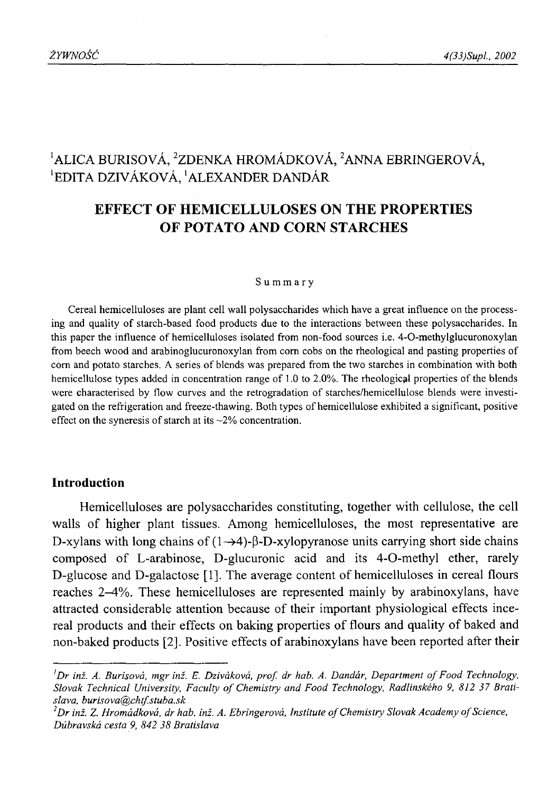# $1$ ALICA BURISOVÁ, <sup>2</sup>ZDENKA HROMÁDKOVÁ, <sup>2</sup>ANNA EBRINGEROVÁ, <sup>1</sup>EDITA DZIVÁKOVÁ, <sup>1</sup>ALEXANDER DANDÁR

# **EFFECT OF HEMICELLULOSES ON THE PROPERTIES OF POTATO AND CORN STARCHES**

#### Summary

Cereal hemicelluloses are plant cell wall polysaccharides which have a great influence on the processing and quality of starch-based food products due to the interactions between these polysaccharides. In this paper the influence of hemicelluloses isolated from non-food sources i.e. 4-O-methylglucuronoxylan from beech wood and arabinoglucuronoxylan from com cobs on the rheological and pasting properties of com and potato starches. A series of blends was prepared from the two starches in combination with both hemicellulose types added in concentration range of 1.0 to 2.0%. The rheological properties of the blends were characterised by flow curves and the retrogradation of starches/hemicellulose blends were investigated on the refrigeration and freeze-thawing. Both types of hemicellulose exhibited a significant, positive effect on the syneresis of starch at its  $\sim$ 2% concentration.

#### **Introduction**

Hemicelluloses are polysaccharides constituting, together with cellulose, the cell walls of higher plant tissues. Among hemicelluloses, the most representative are D-xylans with long chains of  $(1\rightarrow 4)$ - $\beta$ -D-xylopyranose units carrying short side chains composed of L-arabinose, D-glucuronic acid and its 4-O-methyl ether, rarely D-glucose and D-galactose [1]. The average content of hemicelluloses in cereal flours reaches 2–4%. These hemicelluloses are represented mainly by arabinoxylans, have attracted considerable attention because of their important physiological effects incereal products and their effects on baking properties of flours and quality of baked and non-baked products [2]. Positive effects of arabinoxylans have been reported after their

*<sup>&#</sup>x27;Dr inź. A. Burisova, mgr inź. E. Dzivakova, prof. dr hab. A. Dandar, Department o f Food Technology,* Slovak Technical University, Faculty of Chemistry and Food Technology, Radlinského 9, 812 37 Brati*slava, [burisova@chtf.stuba.sk](mailto:burisova@chtf.stuba.sk)*

<sup>&</sup>lt;sup>2</sup> Dr inž. Z. *Hromádková, dr hab. inž. A. Ebringerová, Institute of Chemistry Slovak Academy of Science, Dubravska cesta 9, 842 38 Bratislava*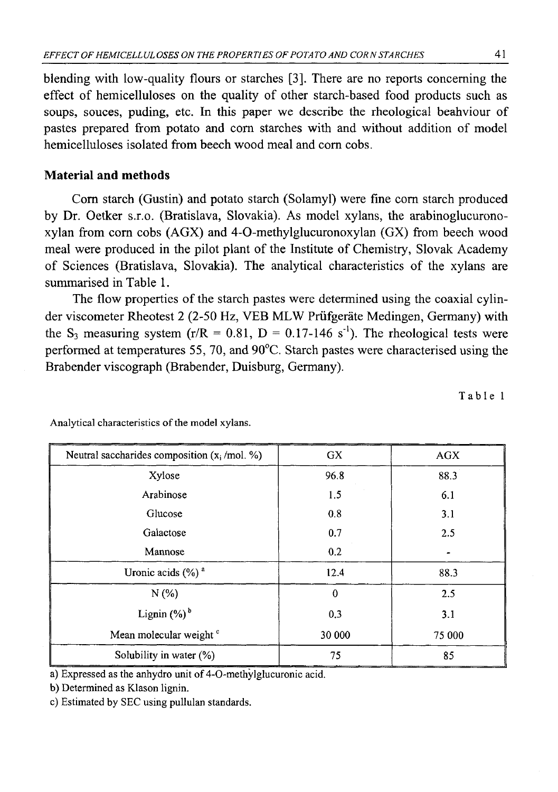blending with low-quality flours or starches [3]. There are no reports concerning the effect of hemicelluloses on the quality of other starch-based food products such as soups, souces, puding, etc. In this paper we describe the rheological beahviour of pastes prepared from potato and com starches with and without addition of model hemicelluloses isolated from beech wood meal and com cobs.

## **Material and methods**

Com starch (Gustin) and potato starch (Solamyl) were fine com starch produced by Dr. Oetker s.r.o. (Bratislava, Slovakia). As model xylans, the arabinoglucuronoxylan from com cobs (AGX) and 4-O-methylglucuronoxylan (GX) from beech wood meal were produced in the pilot plant of the Institute of Chemistry, Slovak Academy of Sciences (Bratislava, Slovakia). The analytical characteristics of the xylans are summarised in Table 1.

The flow properties of the starch pastes were determined using the coaxial cylinder viscometer Rheotest 2 (2-50 Hz, VEB MLW Priifgerate Medingen, Germany) with the S<sub>3</sub> measuring system (r/R = 0.81, D = 0.17-146 s<sup>-1</sup>). The rheological tests were performed at temperatures 55, 70, and 90°C. Starch pastes were characterised using the Brabender viscograph (Brabender, Duisburg, Germany).

Table 1

| Neutral saccharides composition $(x_i/mol. \%)$ | <b>GX</b> | AGX    |
|-------------------------------------------------|-----------|--------|
| Xylose                                          | 96.8      | 88.3   |
| Arabinose                                       | 1.5       | 6.1    |
| Glucose                                         | 0.8       | 3.1    |
| Galactose                                       | 0.7       | 2.5    |
| Mannose                                         | 0.2       |        |
| Uronic acids $(\%)$ <sup>a</sup>                | 12.4      | 88.3   |
| N(%                                             | $\Omega$  | 2.5    |
| Lignin $(\%)^b$                                 | 0.3       | 3.1    |
| Mean molecular weight <sup>c</sup>              | 30 000    | 75 000 |
| Solubility in water (%)                         | 75        | 85     |

Analytical characteristics of the model xylans.

a) Expressed as the anhydro unit of 4-O-methylglucuronic acid.

b) Determined as Klason lignin.

c) Estimated by SEC using pullulan standards.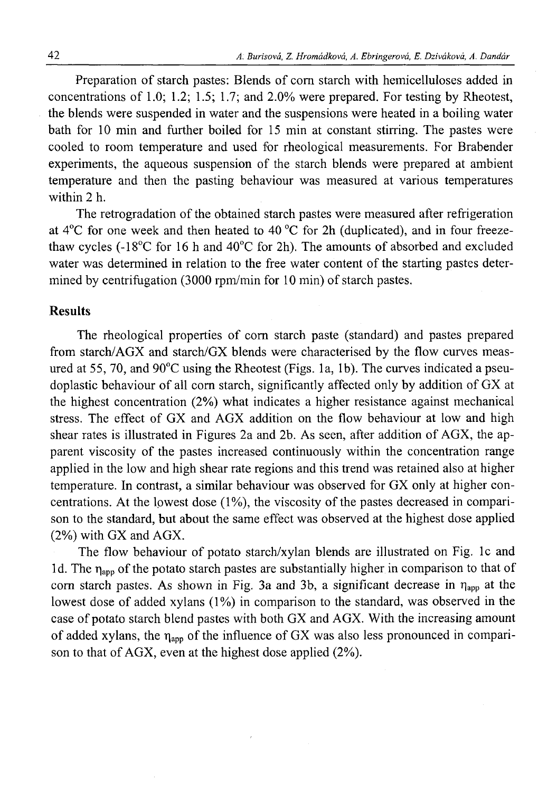Preparation of starch pastes: Blends of corn starch with hemicelluloses added in concentrations of 1.0; 1.2; 1.5; 1.7; and 2.0% were prepared. For testing by Rheotest, the blends were suspended in water and the suspensions were heated in a boiling water bath for 10 min and further boiled for 15 min at constant stirring. The pastes were cooled to room temperature and used for rheological measurements. For Brabender experiments, the aqueous suspension of the starch blends were prepared at ambient temperature and then the pasting behaviour was measured at various temperatures within 2 h.

The retrogradation of the obtained starch pastes were measured after refrigeration at  $4^{\circ}$ C for one week and then heated to  $40^{\circ}$ C for 2h (duplicated), and in four freezethaw cycles (-18 $^{\circ}$ C for 16 h and 40 $^{\circ}$ C for 2h). The amounts of absorbed and excluded water was determined in relation to the free water content of the starting pastes determined by centrifugation (3000 rpm/min for 10 min) of starch pastes.

### **Results**

The rheological properties of corn starch paste (standard) and pastes prepared from starch/AGX and starch/GX blends were characterised by the flow curves measured at 55, 70, and 90°C using the Rheotest (Figs. la, lb). The curves indicated a pseudoplastic behaviour of all com starch, significantly affected only by addition of GX at the highest concentration (2%) what indicates a higher resistance against mechanical stress. The effect of GX and AGX addition on the flow behaviour at low and high shear rates is illustrated in Figures 2a and 2b. As seen, after addition of AGX, the apparent viscosity of the pastes increased continuously within the concentration range applied in the low and high shear rate regions and this trend was retained also at higher temperature. In contrast, a similar behaviour was observed for GX only at higher concentrations. At the lowest dose (1%), the viscosity of the pastes decreased in comparison to the standard, but about the same effect was observed at the highest dose applied (2%) with GX and AGX.

The flow behaviour of potato starch/xylan blends are illustrated on Fig. lc and 1d. The  $\eta_{app}$  of the potato starch pastes are substantially higher in comparison to that of corn starch pastes. As shown in Fig. 3a and 3b, a significant decrease in  $\eta_{app}$  at the lowest dose of added xylans (1%) in comparison to the standard, was observed in the case of potato starch blend pastes with both GX and AGX. With the increasing amount of added xylans, the  $\eta_{app}$  of the influence of GX was also less pronounced in comparison to that of AGX, even at the highest dose applied  $(2\%)$ .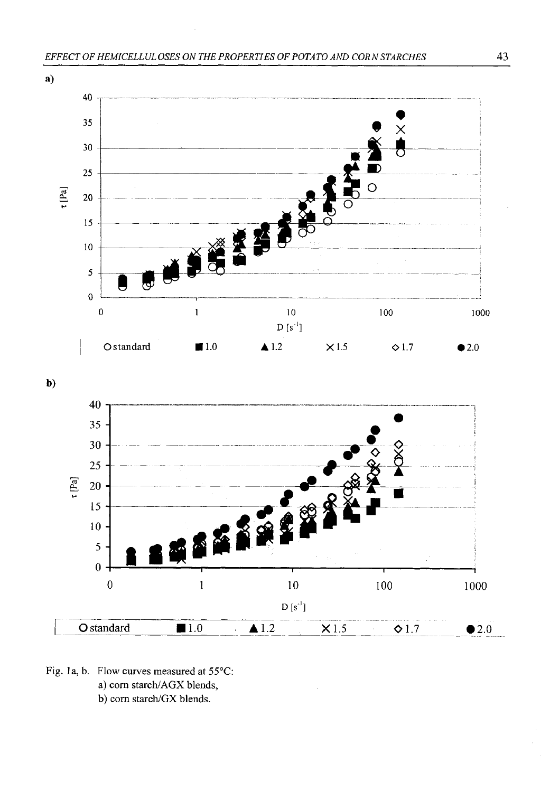

**b)**



 $\triangle$  1.2  $\times$  1.5  $\otimes$  1.7



 $O standard$  1.0

• **2.0**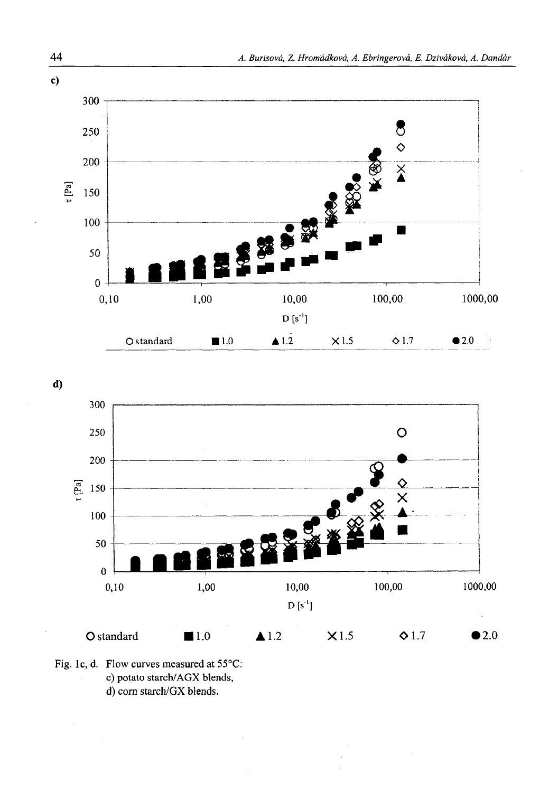





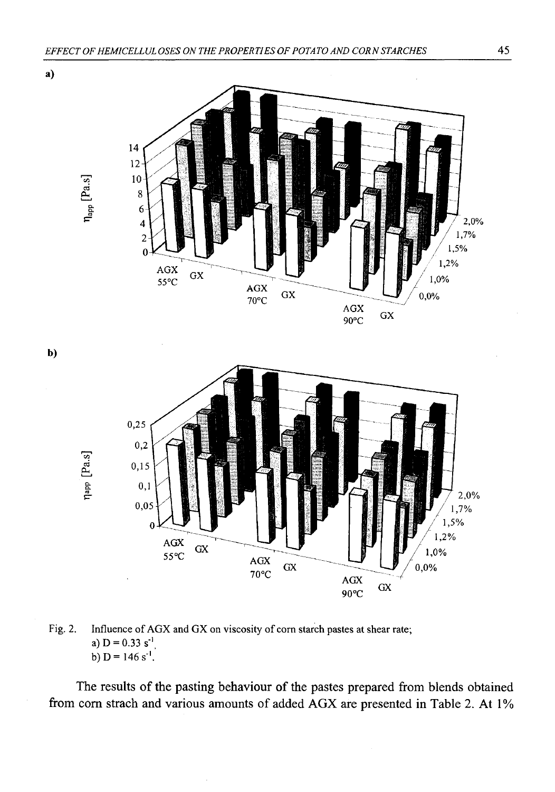

Fig. 2. Influence of AGX and GX on viscosity of corn starch pastes at shear rate; a)  $D = 0.33 s^{-1}$ b)  $D = 146 s^{-1}$ .

 $\bar{\mathcal{L}}$ 

The results of the pasting behaviour of the pastes prepared from blends obtained from corn strach and various amounts of added AGX are presented in Table 2. At 1%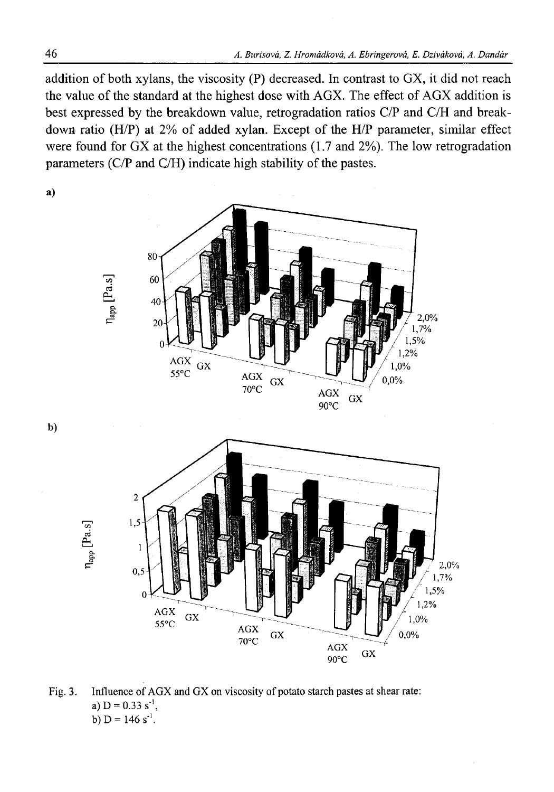addition of both xylans, the viscosity (P) decreased. In contrast to GX, it did not reach the value of the standard at the highest dose with AGX. The effect of AGX addition is best expressed by the breakdown value, retrogradation ratios C/P and C/H and breakdown ratio (H/P) at 2% of added xylan. Except of the H/P parameter, similar effect were found for GX at the highest concentrations (1.7 and 2%). The low retrogradation parameters (C/P and C/H) indicate high stability of the pastes.



Fig. 3. Influence of AGX and GX on viscosity of potato starch pastes at shear rate: a)  $D = 0.33 s^{-1}$ , b)  $D = 146 s^{-1}$ .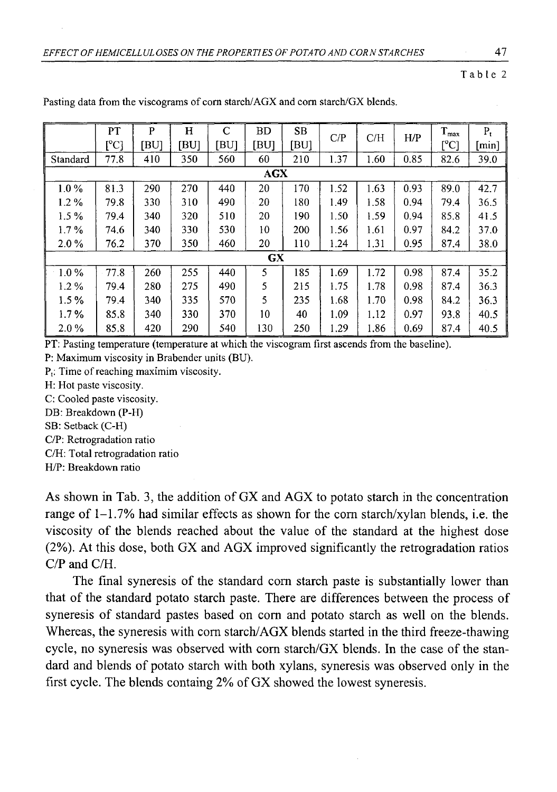#### Table 2

|            | PT        | P    | н    | C    | <b>BD</b> | <b>SB</b> | C/P  | C/H  | H/P  | $T_{\text{max}}$ | $P_t$ |
|------------|-----------|------|------|------|-----------|-----------|------|------|------|------------------|-------|
|            | [°C]      | [BU] | [BU] | [BU] | [BU]      | [BU]      |      |      |      | [°C]             | [min] |
| Standard   | 77.8      | 410  | 350  | 560  | 60        | 210       | 1.37 | 1.60 | 0.85 | 82.6             | 39.0  |
| <b>AGX</b> |           |      |      |      |           |           |      |      |      |                  |       |
| $1.0\%$    | 81.3      | 290  | 270  | 440  | 20        | 170       | 1.52 | 1.63 | 0.93 | 89.0             | 42.7  |
| $1.2\%$    | 79.8      | 330  | 310  | 490  | 20        | 180       | 1.49 | 1.58 | 0.94 | 79.4             | 36.5  |
| $1.5\%$    | 79.4      | 340  | 320  | 510  | 20        | 190       | 1.50 | 1.59 | 0.94 | 85.8             | 41.5  |
| $1.7\%$    | 74.6      | 340  | 330  | 530  | 10        | 200       | 1.56 | 1.61 | 0.97 | 84.2             | 37.0  |
| 2.0%       | 76.2      | 370  | 350  | 460  | 20        | 110       | 1.24 | 1.31 | 0.95 | 87.4             | 38.0  |
|            | <b>GX</b> |      |      |      |           |           |      |      |      |                  |       |
| $1.0\%$    | 77.8      | 260  | 255  | 440  | 5         | 185       | 1.69 | 1.72 | 0.98 | 87.4             | 35.2  |
| $1.2\%$    | 79.4      | 280  | 275  | 490  | 5         | 215       | 1.75 | 1.78 | 0.98 | 87.4             | 36.3  |
| $1.5\%$    | 79.4      | 340  | 335  | 570  | 5         | 235       | 1.68 | 1.70 | 0.98 | 84.2             | 36.3  |
| $1.7\%$    | 85.8      | 340  | 330  | 370  | 10        | 40        | 1.09 | 1.12 | 0.97 | 93.8             | 40.5  |
| $2.0\%$    | 85.8      | 420  | 290  | 540  | 130       | 250       | 1.29 | 1.86 | 0.69 | 87.4             | 40.5  |

Pasting data from the viscograms of corn starch/AGX and corn starch/GX blends.

PT: Pasting temperature (temperature at which the viscogram first ascends from the baseline).

P: Maximum viscosity in Brabender units (BU).

P<sub>t</sub>: Time of reaching maximim viscosity.

H: Hot paste viscosity.

C: Cooled paste viscosity.

DB: Breakdown (P-H)

SB: Setback (C-H)

C/P: Retrogradation ratio

C/H: Total retrogradation ratio

H/P: Breakdown ratio

As shown in Tab. 3, the addition of GX and AGX to potato starch in the concentration range of  $1-1.7\%$  had similar effects as shown for the com starch/xylan blends, i.e. the viscosity of the blends reached about the value of the standard at the highest dose (2%). At this dose, both GX and AGX improved significantly the retrogradation ratios C/P and C/H.

The final syneresis of the standard com starch paste is substantially lower than that of the standard potato starch paste. There are differences between the process of syneresis of standard pastes based on com and potato starch as well on the blends. Whereas, the syneresis with com starch/AGX blends started in the third freeze-thawing cycle, no syneresis was observed with com starch/GX blends. In the case of the standard and blends of potato starch with both xylans, syneresis was observed only in the first cycle. The blends containg 2% of GX showed the lowest syneresis.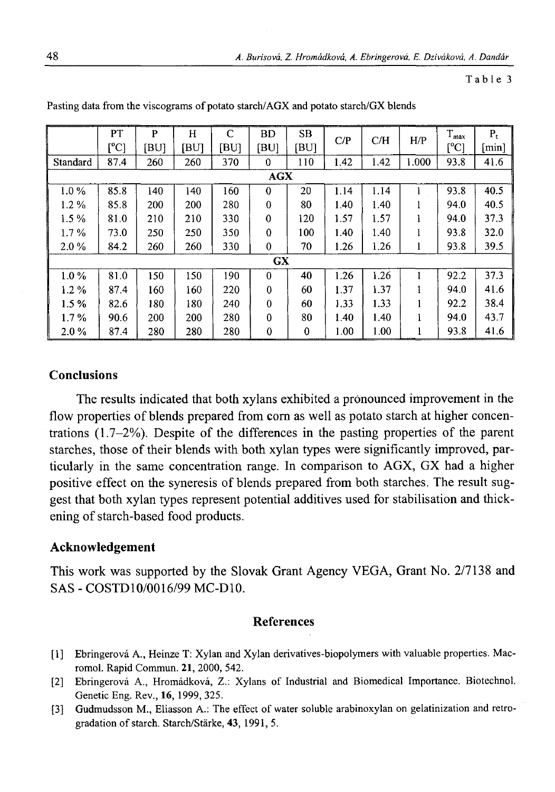#### Table 3

|            | PT   | P    | H    | $\mathsf{C}$ | <b>BD</b>   | SB   | C/P  | C/H  | H/P   | $T_{\text{max}}$ | $P_t$         |
|------------|------|------|------|--------------|-------------|------|------|------|-------|------------------|---------------|
|            | [°C] | [BU] | [BU] | [BU]         | [BU]        | [BU] |      |      |       | [°C]             | $[{\rm min}]$ |
| Standard   | 87.4 | 260  | 260  | 370          | 0           | 110  | 1.42 | 1.42 | 1.000 | 93.8             | 41.6          |
| <b>AGX</b> |      |      |      |              |             |      |      |      |       |                  |               |
| 1.0%       | 85.8 | 140  | 140  | 160          | $\bf{0}$    | 20   | 1.14 | 1.14 |       | 93.8             | 40.5          |
| $1.2\%$    | 85.8 | 200  | 200  | 280          | $\Omega$    | 80   | 1.40 | 1.40 |       | 94.0             | 40.5          |
| 1.5%       | 81.0 | 210  | 210  | 330          | $\mathbf 0$ | 120  | 1.57 | 1.57 |       | 94.0             | 37.3          |
| 1.7%       | 73.0 | 250  | 250  | 350          | $\mathbf 0$ | 100  | 1.40 | 1.40 |       | 93.8             | 32.0          |
| $2.0\%$    | 84.2 | 260  | 260  | 330          | $\mathbf 0$ | 70   | 1.26 | 1.26 |       | 93.8             | 39.5          |
| <b>GX</b>  |      |      |      |              |             |      |      |      |       |                  |               |
| 1.0%       | 81.0 | 150  | 150  | 190          | $\bf{0}$    | 40   | 1.26 | 1.26 |       | 92.2             | 37.3          |
| $1.2\%$    | 87.4 | 160  | 160  | 220          | $\bf{0}$    | 60   | 1.37 | 1.37 |       | 94.0             | 41.6          |
| 1.5%       | 82.6 | 180  | 180  | 240          | $\bf{0}$    | 60   | 1.33 | 1.33 | 1     | 92.2             | 38.4          |
| $1.7\%$    | 90.6 | 200  | 200  | 280          | 0           | 80   | 1.40 | 1.40 |       | 94.0             | 43.7          |
| $2.0\%$    | 87.4 | 280  | 280  | 280          | $\bf{0}$    | 0    | 1.00 | 1.00 |       | 93.8             | 41.6          |

Pasting data from the viscograms of potato starch/AGX and potato starch/GX blends

## **Conclusions**

The results indicated that both xylans exhibited a pronounced improvement in the flow properties of blends prepared from corn as well as potato starch at higher concentrations (1.7-2%). Despite of the differences in the pasting properties of the parent starches, those of their blends with both xylan types were significantly improved, particularly in the same concentration range. In comparison to AGX, GX had a higher positive effect on the syneresis of blends prepared from both starches. The result suggest that both xylan types represent potential additives used for stabilisation and thickening of starch-based food products.

#### **Acknowledgement**

This work was supported by the Slovak Grant Agency VEGA, Grant No. 2/7138 and SAS - COSTD10/0016/99 MC-D10.

#### **References**

- [1] Ebringerová A., Heinze T: Xylan and Xylan derivatives-biopolymers with valuable properties. Macromol. Rapid Commun. **21,** 2000, 542.
- [2] Ebringerova A., Hromadkova, Z.: Xylans of Industrial and Biomedical Importance. Biotechnol. Genetic Eng. Rev., 16, 1999, 325.
- [3] Gudmudsson M., Eliasson A.: The effect of water soluble arabinoxylan on gelatinization and retrogradation of starch. Starch/Starke, **43,** 1991, 5.